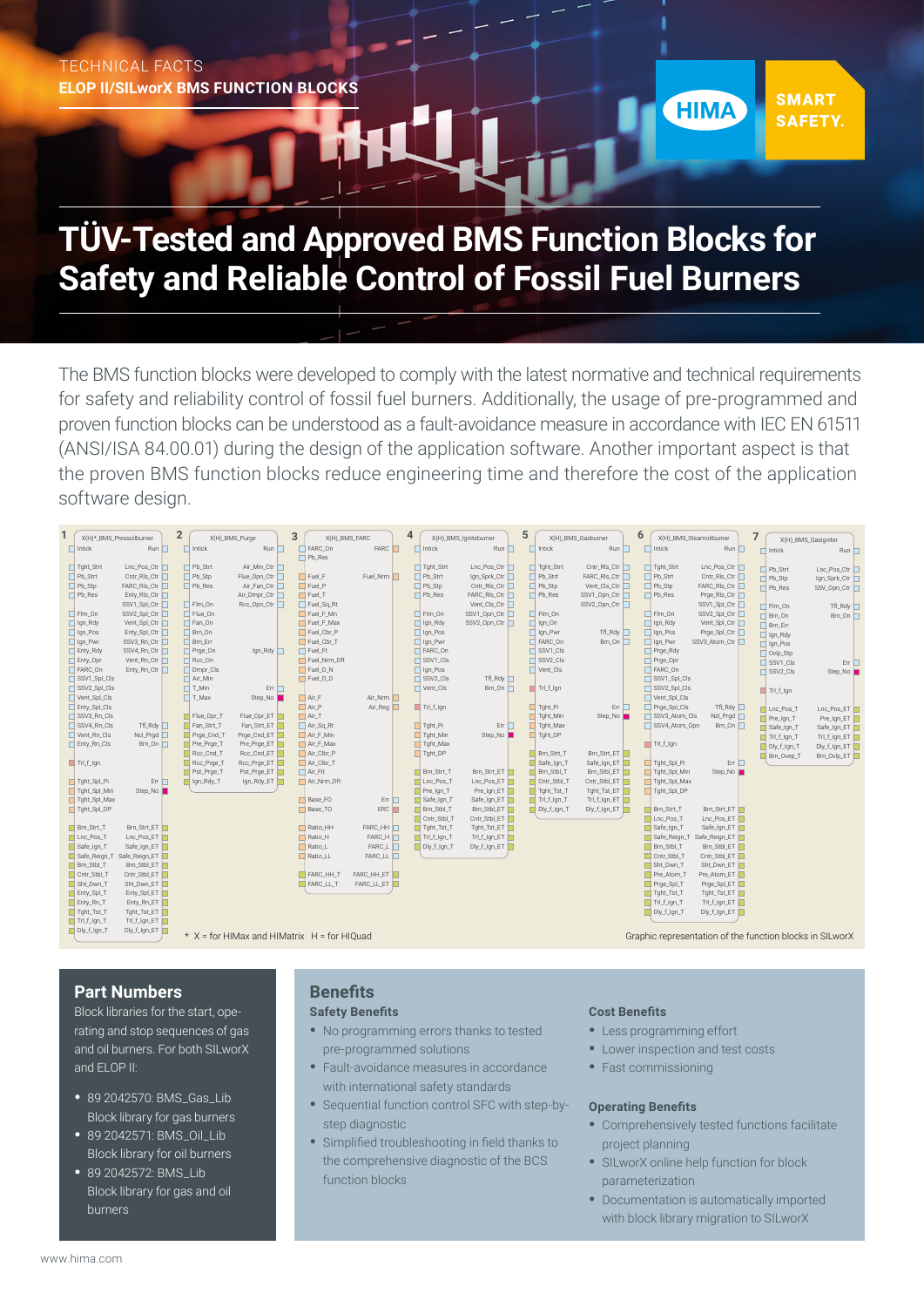# TECHNICAL FACTS **ELOP II/SILworX BMS FUNCTION BLOCKS**

# **TÜV-Tested and Approved BMS Function Blocks for Safety and Reliable Control of Fossil Fuel Burners**

The BMS function blocks were developed to comply with the latest normative and technical requirements for safety and reliability control of fossil fuel burners. Additionally, the usage of pre-programmed and proven function blocks can be understood as a fault-avoidance measure in accordance with IEC EN 61511 (ANSI/ISA 84.00.01) during the design of the application software. Another important aspect is that the proven BMS function blocks reduce engineering time and therefore the cost of the application software design.



## **Part Numbers**

Block libraries for the start, operating and stop sequences of gas and oil burners. For both SILworX and ELOP II:

- 89 2042570: BMS\_Gas\_Lib Block library for gas burners
- 89 2042571: BMS\_Oil\_Lib Block library for oil burners
- 89 2042572: BMS\_Lib Block library for gas and oil burners

# **Benefits**

## **Safety Benefits**

- No programming errors thanks to tested pre-programmed solutions
- Fault-avoidance measures in accordance with international safety standards
- Sequential function control SFC with step-bystep diagnostic
- Simplified troubleshooting in field thanks to the comprehensive diagnostic of the BCS function blocks

## **Cost Benefits**

- Less programming effort
- Lower inspection and test costs
- Fast commissioning

#### **Operating Benefits**

• Comprehensively tested functions facilitate project planning

**SMART** 

**SAFETY.** 

**HIMA** 

- SILworX online help function for block parameterization
- Documentation is automatically imported with block library migration to SILworX